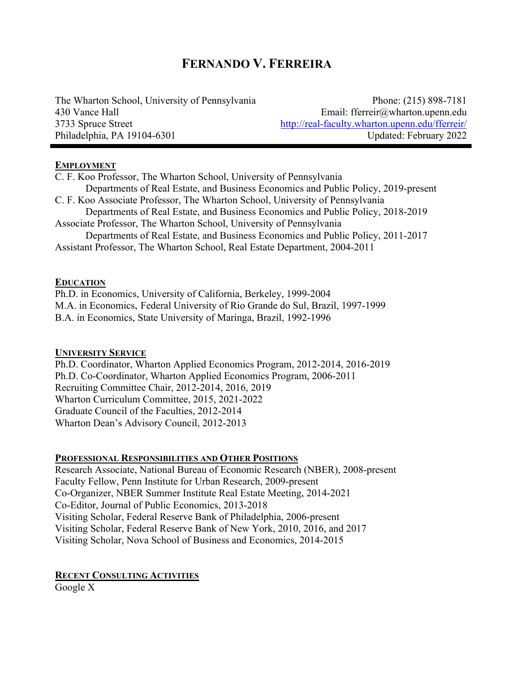# **FERNANDO V. FERREIRA**

The Wharton School, University of Pennsylvania Phone: (215) 898-7181 430 Vance Hall Email: fferreir@wharton.upenn.edu 3733 Spruce Street http://real-faculty.wharton.upenn.edu/fferreir/ Philadelphia, PA 19104-6301 Updated: February 2022

#### **EMPLOYMENT**

C. F. Koo Professor, The Wharton School, University of Pennsylvania Departments of Real Estate, and Business Economics and Public Policy, 2019-present C. F. Koo Associate Professor, The Wharton School, University of Pennsylvania Departments of Real Estate, and Business Economics and Public Policy, 2018-2019 Associate Professor, The Wharton School, University of Pennsylvania Departments of Real Estate, and Business Economics and Public Policy, 2011-2017 Assistant Professor, The Wharton School, Real Estate Department, 2004-2011

## **EDUCATION**

Ph.D. in Economics, University of California, Berkeley, 1999-2004 M.A. in Economics, Federal University of Rio Grande do Sul, Brazil, 1997-1999 B.A. in Economics, State University of Maringa, Brazil, 1992-1996

#### **UNIVERSITY SERVICE**

Ph.D. Coordinator, Wharton Applied Economics Program, 2012-2014, 2016-2019 Ph.D. Co-Coordinator, Wharton Applied Economics Program, 2006-2011 Recruiting Committee Chair, 2012-2014, 2016, 2019 Wharton Curriculum Committee, 2015, 2021-2022 Graduate Council of the Faculties, 2012-2014 Wharton Dean's Advisory Council, 2012-2013

# **PROFESSIONAL RESPONSIBILITIES AND OTHER POSITIONS**

Research Associate, National Bureau of Economic Research (NBER), 2008-present Faculty Fellow, Penn Institute for Urban Research, 2009-present Co-Organizer, NBER Summer Institute Real Estate Meeting, 2014-2021 Co-Editor, Journal of Public Economics, 2013-2018 Visiting Scholar, Federal Reserve Bank of Philadelphia, 2006-present Visiting Scholar, Federal Reserve Bank of New York, 2010, 2016, and 2017 Visiting Scholar, Nova School of Business and Economics, 2014-2015

**RECENT CONSULTING ACTIVITIES** Google X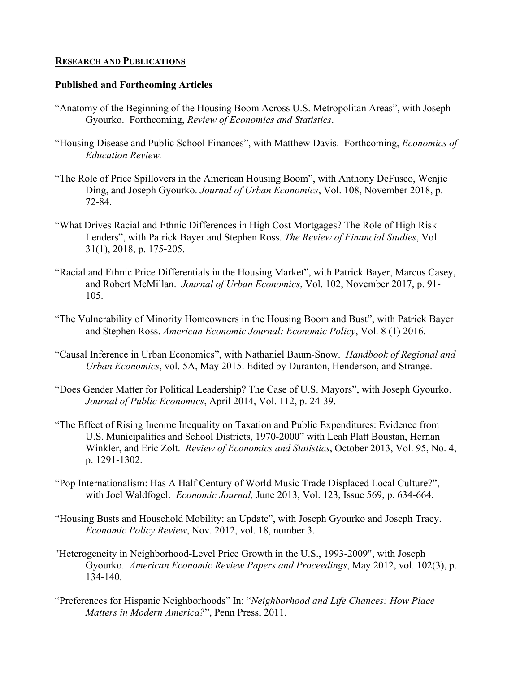#### **RESEARCH AND PUBLICATIONS**

# **Published and Forthcoming Articles**

- "Anatomy of the Beginning of the Housing Boom Across U.S. Metropolitan Areas", with Joseph Gyourko. Forthcoming, *Review of Economics and Statistics*.
- "Housing Disease and Public School Finances", with Matthew Davis. Forthcoming, *Economics of Education Review.*
- "The Role of Price Spillovers in the American Housing Boom", with Anthony DeFusco, Wenjie Ding, and Joseph Gyourko. *Journal of Urban Economics*, Vol. 108, November 2018, p. 72-84.
- "What Drives Racial and Ethnic Differences in High Cost Mortgages? The Role of High Risk Lenders", with Patrick Bayer and Stephen Ross. *The Review of Financial Studies*, Vol. 31(1), 2018, p. 175-205.
- "Racial and Ethnic Price Differentials in the Housing Market", with Patrick Bayer, Marcus Casey, and Robert McMillan. *Journal of Urban Economics*, Vol. 102, November 2017, p. 91- 105.
- "The Vulnerability of Minority Homeowners in the Housing Boom and Bust", with Patrick Bayer and Stephen Ross. *American Economic Journal: Economic Policy*, Vol. 8 (1) 2016.
- "Causal Inference in Urban Economics", with Nathaniel Baum-Snow. *Handbook of Regional and Urban Economics*, vol. 5A, May 2015. Edited by Duranton, Henderson, and Strange.
- "Does Gender Matter for Political Leadership? The Case of U.S. Mayors", with Joseph Gyourko. *Journal of Public Economics*, April 2014, Vol. 112, p. 24-39.
- "The Effect of Rising Income Inequality on Taxation and Public Expenditures: Evidence from U.S. Municipalities and School Districts, 1970-2000" with Leah Platt Boustan, Hernan Winkler, and Eric Zolt. *Review of Economics and Statistics*, October 2013, Vol. 95, No. 4, p. 1291-1302.
- "Pop Internationalism: Has A Half Century of World Music Trade Displaced Local Culture?", with Joel Waldfogel. *Economic Journal,* June 2013, Vol. 123, Issue 569, p. 634-664.
- "Housing Busts and Household Mobility: an Update", with Joseph Gyourko and Joseph Tracy. *Economic Policy Review*, Nov. 2012, vol. 18, number 3.
- "Heterogeneity in Neighborhood-Level Price Growth in the U.S., 1993-2009", with Joseph Gyourko. *American Economic Review Papers and Proceedings*, May 2012, vol. 102(3), p. 134-140.
- "Preferences for Hispanic Neighborhoods" In: "*Neighborhood and Life Chances: How Place Matters in Modern America?*", Penn Press, 2011.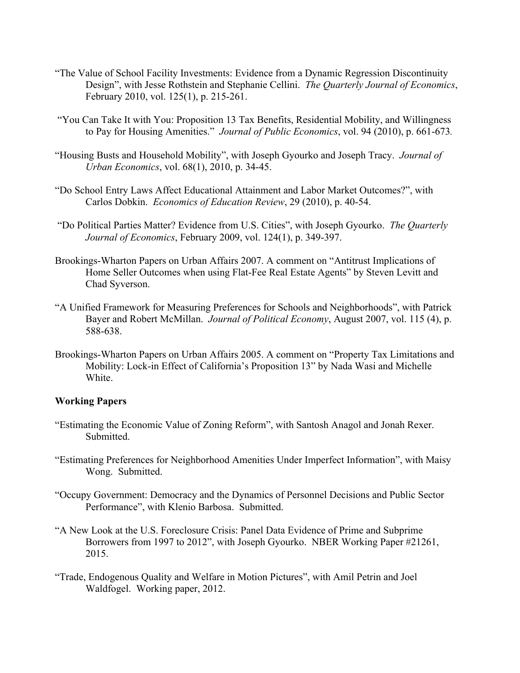- "The Value of School Facility Investments: Evidence from a Dynamic Regression Discontinuity Design", with Jesse Rothstein and Stephanie Cellini. *The Quarterly Journal of Economics*, February 2010, vol. 125(1), p. 215-261.
- "You Can Take It with You: Proposition 13 Tax Benefits, Residential Mobility, and Willingness to Pay for Housing Amenities." *Journal of Public Economics*, vol. 94 (2010), p. 661-673*.*
- "Housing Busts and Household Mobility", with Joseph Gyourko and Joseph Tracy. *Journal of Urban Economics*, vol. 68(1), 2010, p. 34-45.
- "Do School Entry Laws Affect Educational Attainment and Labor Market Outcomes?", with Carlos Dobkin. *Economics of Education Review*, 29 (2010), p. 40-54.
- "Do Political Parties Matter? Evidence from U.S. Cities", with Joseph Gyourko. *The Quarterly Journal of Economics*, February 2009, vol. 124(1), p. 349-397.
- Brookings-Wharton Papers on Urban Affairs 2007. A comment on "Antitrust Implications of Home Seller Outcomes when using Flat-Fee Real Estate Agents" by Steven Levitt and Chad Syverson.
- "A Unified Framework for Measuring Preferences for Schools and Neighborhoods", with Patrick Bayer and Robert McMillan. *Journal of Political Economy*, August 2007, vol. 115 (4), p. 588-638.
- Brookings-Wharton Papers on Urban Affairs 2005. A comment on "Property Tax Limitations and Mobility: Lock-in Effect of California's Proposition 13" by Nada Wasi and Michelle White.

## **Working Papers**

- "Estimating the Economic Value of Zoning Reform", with Santosh Anagol and Jonah Rexer. Submitted.
- "Estimating Preferences for Neighborhood Amenities Under Imperfect Information", with Maisy Wong. Submitted.
- "Occupy Government: Democracy and the Dynamics of Personnel Decisions and Public Sector Performance", with Klenio Barbosa. Submitted.
- "A New Look at the U.S. Foreclosure Crisis: Panel Data Evidence of Prime and Subprime Borrowers from 1997 to 2012", with Joseph Gyourko. NBER Working Paper #21261, 2015.
- "Trade, Endogenous Quality and Welfare in Motion Pictures", with Amil Petrin and Joel Waldfogel. Working paper, 2012.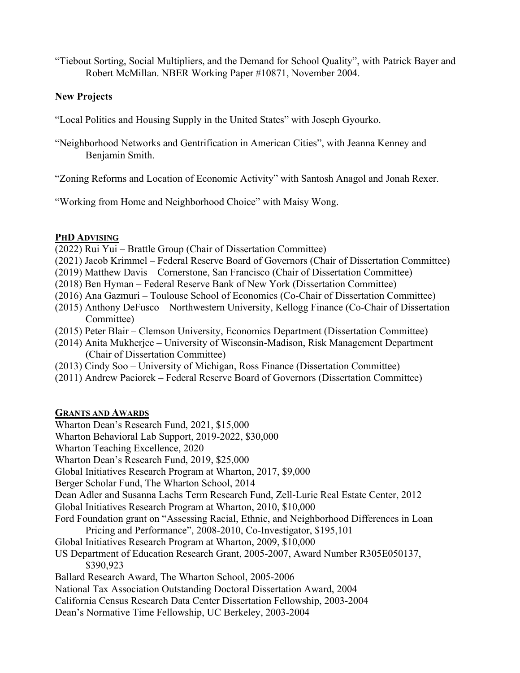"Tiebout Sorting, Social Multipliers, and the Demand for School Quality", with Patrick Bayer and Robert McMillan. NBER Working Paper #10871, November 2004.

# **New Projects**

"Local Politics and Housing Supply in the United States" with Joseph Gyourko.

"Neighborhood Networks and Gentrification in American Cities", with Jeanna Kenney and Benjamin Smith.

"Zoning Reforms and Location of Economic Activity" with Santosh Anagol and Jonah Rexer.

"Working from Home and Neighborhood Choice" with Maisy Wong.

# **PHD ADVISING**

- (2022) Rui Yui Brattle Group (Chair of Dissertation Committee)
- (2021) Jacob Krimmel Federal Reserve Board of Governors (Chair of Dissertation Committee)
- (2019) Matthew Davis Cornerstone, San Francisco (Chair of Dissertation Committee)
- (2018) Ben Hyman Federal Reserve Bank of New York (Dissertation Committee)
- (2016) Ana Gazmuri Toulouse School of Economics (Co-Chair of Dissertation Committee)
- (2015) Anthony DeFusco Northwestern University, Kellogg Finance (Co-Chair of Dissertation Committee)
- (2015) Peter Blair Clemson University, Economics Department (Dissertation Committee)
- (2014) Anita Mukherjee University of Wisconsin-Madison, Risk Management Department (Chair of Dissertation Committee)
- (2013) Cindy Soo University of Michigan, Ross Finance (Dissertation Committee)
- (2011) Andrew Paciorek Federal Reserve Board of Governors (Dissertation Committee)

# **GRANTS AND AWARDS**

Wharton Dean's Research Fund, 2021, \$15,000

Wharton Behavioral Lab Support, 2019-2022, \$30,000

Wharton Teaching Excellence, 2020

Wharton Dean's Research Fund, 2019, \$25,000

Global Initiatives Research Program at Wharton, 2017, \$9,000

Berger Scholar Fund, The Wharton School, 2014

Dean Adler and Susanna Lachs Term Research Fund, Zell-Lurie Real Estate Center, 2012

Global Initiatives Research Program at Wharton, 2010, \$10,000

Ford Foundation grant on "Assessing Racial, Ethnic, and Neighborhood Differences in Loan Pricing and Performance", 2008-2010, Co-Investigator, \$195,101

Global Initiatives Research Program at Wharton, 2009, \$10,000

# US Department of Education Research Grant, 2005-2007, Award Number R305E050137, \$390,923

Ballard Research Award, The Wharton School, 2005-2006

- National Tax Association Outstanding Doctoral Dissertation Award, 2004
- California Census Research Data Center Dissertation Fellowship, 2003-2004
- Dean's Normative Time Fellowship, UC Berkeley, 2003-2004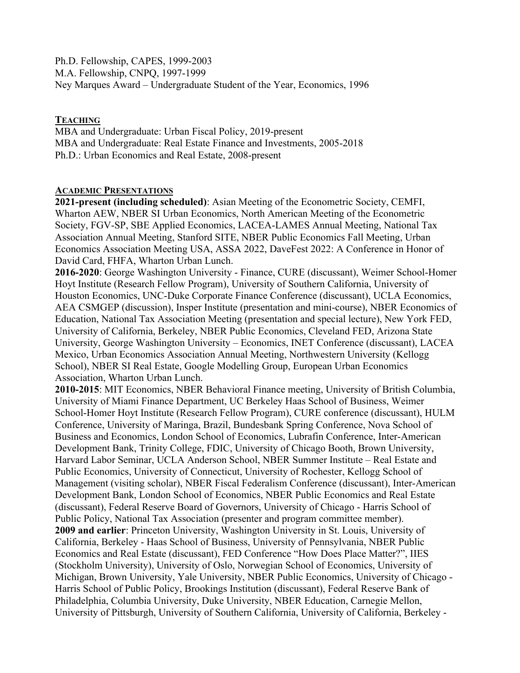Ph.D. Fellowship, CAPES, 1999-2003 M.A. Fellowship, CNPQ, 1997-1999 Ney Marques Award – Undergraduate Student of the Year, Economics, 1996

# **TEACHING**

MBA and Undergraduate: Urban Fiscal Policy, 2019-present MBA and Undergraduate: Real Estate Finance and Investments, 2005-2018 Ph.D.: Urban Economics and Real Estate, 2008-present

## **ACADEMIC PRESENTATIONS**

**2021-present (including scheduled)**: Asian Meeting of the Econometric Society, CEMFI, Wharton AEW, NBER SI Urban Economics, North American Meeting of the Econometric Society, FGV-SP, SBE Applied Economics, LACEA-LAMES Annual Meeting, National Tax Association Annual Meeting, Stanford SITE, NBER Public Economics Fall Meeting, Urban Economics Association Meeting USA, ASSA 2022, DaveFest 2022: A Conference in Honor of David Card, FHFA, Wharton Urban Lunch.

**2016-2020**: George Washington University - Finance, CURE (discussant), Weimer School-Homer Hoyt Institute (Research Fellow Program), University of Southern California, University of Houston Economics, UNC-Duke Corporate Finance Conference (discussant), UCLA Economics, AEA CSMGEP (discussion), Insper Institute (presentation and mini-course), NBER Economics of Education, National Tax Association Meeting (presentation and special lecture), New York FED, University of California, Berkeley, NBER Public Economics, Cleveland FED, Arizona State University, George Washington University – Economics, INET Conference (discussant), LACEA Mexico, Urban Economics Association Annual Meeting, Northwestern University (Kellogg School), NBER SI Real Estate, Google Modelling Group, European Urban Economics Association, Wharton Urban Lunch.

**2010-2015**: MIT Economics, NBER Behavioral Finance meeting, University of British Columbia, University of Miami Finance Department, UC Berkeley Haas School of Business, Weimer School-Homer Hoyt Institute (Research Fellow Program), CURE conference (discussant), HULM Conference, University of Maringa, Brazil, Bundesbank Spring Conference, Nova School of Business and Economics, London School of Economics, Lubrafin Conference, Inter-American Development Bank, Trinity College, FDIC, University of Chicago Booth, Brown University, Harvard Labor Seminar, UCLA Anderson School, NBER Summer Institute – Real Estate and Public Economics, University of Connecticut, University of Rochester, Kellogg School of Management (visiting scholar), NBER Fiscal Federalism Conference (discussant), Inter-American Development Bank, London School of Economics, NBER Public Economics and Real Estate (discussant), Federal Reserve Board of Governors, University of Chicago - Harris School of Public Policy, National Tax Association (presenter and program committee member). **2009 and earlier**: Princeton University, Washington University in St. Louis, University of California, Berkeley - Haas School of Business, University of Pennsylvania, NBER Public Economics and Real Estate (discussant), FED Conference "How Does Place Matter?", IIES (Stockholm University), University of Oslo, Norwegian School of Economics, University of Michigan, Brown University, Yale University, NBER Public Economics, University of Chicago - Harris School of Public Policy, Brookings Institution (discussant), Federal Reserve Bank of Philadelphia, Columbia University, Duke University, NBER Education, Carnegie Mellon, University of Pittsburgh, University of Southern California, University of California, Berkeley -